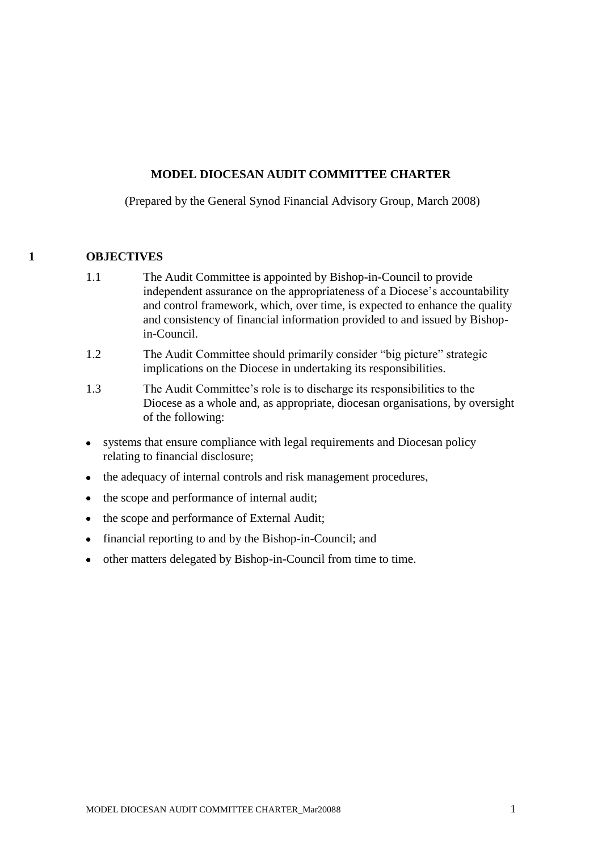# **MODEL DIOCESAN AUDIT COMMITTEE CHARTER**

(Prepared by the General Synod Financial Advisory Group, March 2008)

#### **1 OBJECTIVES**

- 1.1 The Audit Committee is appointed by Bishop-in-Council to provide independent assurance on the appropriateness of a Diocese's accountability and control framework, which, over time, is expected to enhance the quality and consistency of financial information provided to and issued by Bishopin-Council.
- 1.2 The Audit Committee should primarily consider "big picture" strategic implications on the Diocese in undertaking its responsibilities.
- 1.3 The Audit Committee's role is to discharge its responsibilities to the Diocese as a whole and, as appropriate, diocesan organisations, by oversight of the following:
- systems that ensure compliance with legal requirements and Diocesan policy  $\bullet$ relating to financial disclosure;
- the adequacy of internal controls and risk management procedures,
- the scope and performance of internal audit;  $\bullet$
- the scope and performance of External Audit;
- financial reporting to and by the Bishop-in-Council; and
- other matters delegated by Bishop-in-Council from time to time.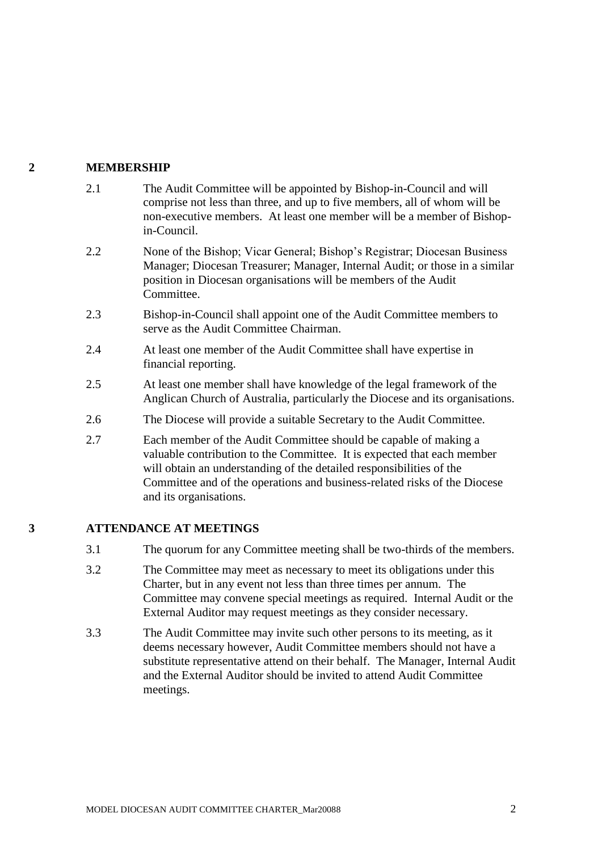# **2 MEMBERSHIP**

- 2.1 The Audit Committee will be appointed by Bishop-in-Council and will comprise not less than three, and up to five members, all of whom will be non-executive members. At least one member will be a member of Bishopin-Council.
- 2.2 None of the Bishop; Vicar General; Bishop's Registrar; Diocesan Business Manager; Diocesan Treasurer; Manager, Internal Audit; or those in a similar position in Diocesan organisations will be members of the Audit Committee.
- 2.3 Bishop-in-Council shall appoint one of the Audit Committee members to serve as the Audit Committee Chairman.
- 2.4 At least one member of the Audit Committee shall have expertise in financial reporting.
- 2.5 At least one member shall have knowledge of the legal framework of the Anglican Church of Australia, particularly the Diocese and its organisations.
- 2.6 The Diocese will provide a suitable Secretary to the Audit Committee.
- 2.7 Each member of the Audit Committee should be capable of making a valuable contribution to the Committee. It is expected that each member will obtain an understanding of the detailed responsibilities of the Committee and of the operations and business-related risks of the Diocese and its organisations.

# **3 ATTENDANCE AT MEETINGS**

- 3.1 The quorum for any Committee meeting shall be two-thirds of the members.
- 3.2 The Committee may meet as necessary to meet its obligations under this Charter, but in any event not less than three times per annum. The Committee may convene special meetings as required. Internal Audit or the External Auditor may request meetings as they consider necessary.
- 3.3 The Audit Committee may invite such other persons to its meeting, as it deems necessary however, Audit Committee members should not have a substitute representative attend on their behalf. The Manager, Internal Audit and the External Auditor should be invited to attend Audit Committee meetings.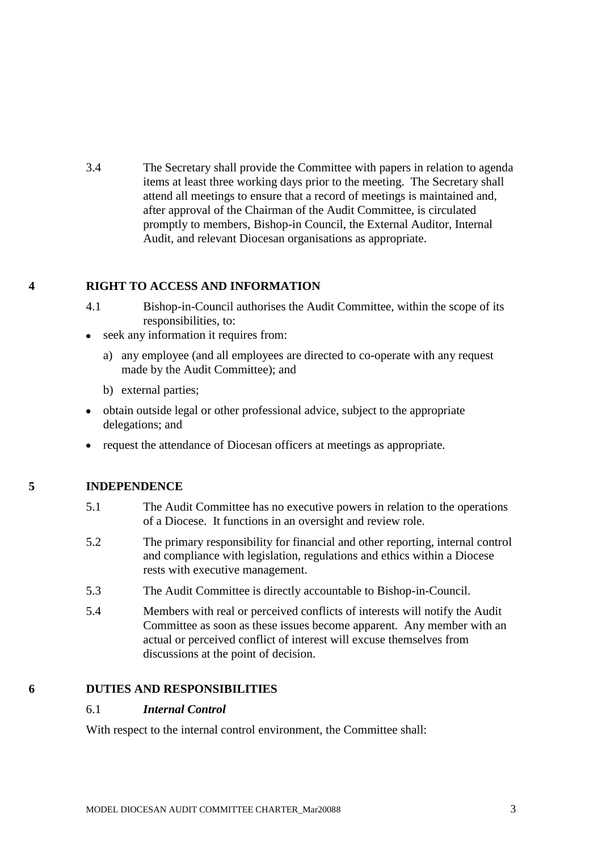3.4 The Secretary shall provide the Committee with papers in relation to agenda items at least three working days prior to the meeting. The Secretary shall attend all meetings to ensure that a record of meetings is maintained and, after approval of the Chairman of the Audit Committee, is circulated promptly to members, Bishop-in Council, the External Auditor, Internal Audit, and relevant Diocesan organisations as appropriate.

### **4 RIGHT TO ACCESS AND INFORMATION**

- 4.1 Bishop-in-Council authorises the Audit Committee, within the scope of its responsibilities, to:
- seek any information it requires from:  $\bullet$ 
	- a) any employee (and all employees are directed to co-operate with any request made by the Audit Committee); and
	- b) external parties;
- obtain outside legal or other professional advice, subject to the appropriate delegations; and
- request the attendance of Diocesan officers at meetings as appropriate.

# **5 INDEPENDENCE**

- 5.1 The Audit Committee has no executive powers in relation to the operations of a Diocese. It functions in an oversight and review role.
- 5.2 The primary responsibility for financial and other reporting, internal control and compliance with legislation, regulations and ethics within a Diocese rests with executive management.
- 5.3 The Audit Committee is directly accountable to Bishop-in-Council.
- 5.4 Members with real or perceived conflicts of interests will notify the Audit Committee as soon as these issues become apparent. Any member with an actual or perceived conflict of interest will excuse themselves from discussions at the point of decision.

# **6 DUTIES AND RESPONSIBILITIES**

#### 6.1 *Internal Control*

With respect to the internal control environment, the Committee shall: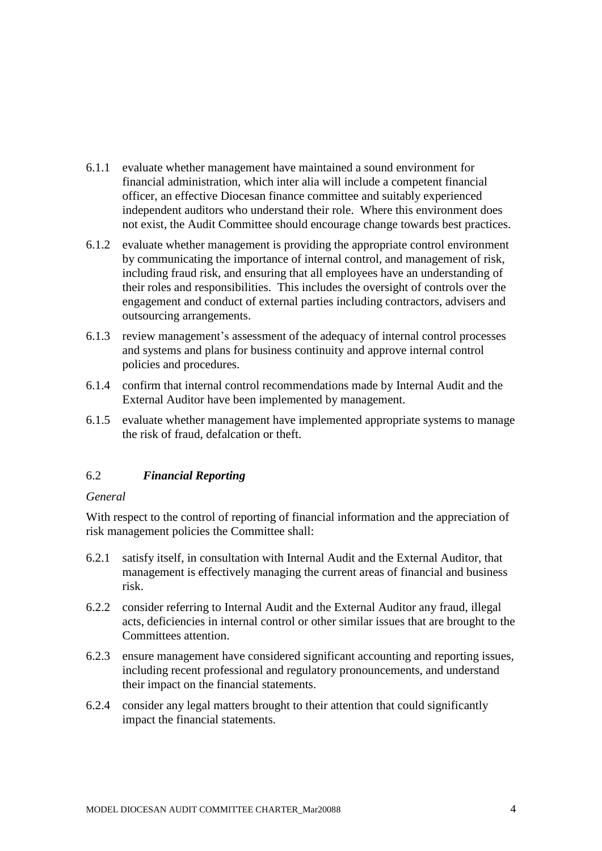- 6.1.1 evaluate whether management have maintained a sound environment for financial administration, which inter alia will include a competent financial officer, an effective Diocesan finance committee and suitably experienced independent auditors who understand their role. Where this environment does not exist, the Audit Committee should encourage change towards best practices.
- 6.1.2 evaluate whether management is providing the appropriate control environment by communicating the importance of internal control, and management of risk, including fraud risk, and ensuring that all employees have an understanding of their roles and responsibilities. This includes the oversight of controls over the engagement and conduct of external parties including contractors, advisers and outsourcing arrangements.
- 6.1.3 review management's assessment of the adequacy of internal control processes and systems and plans for business continuity and approve internal control policies and procedures.
- 6.1.4 confirm that internal control recommendations made by Internal Audit and the External Auditor have been implemented by management.
- 6.1.5 evaluate whether management have implemented appropriate systems to manage the risk of fraud, defalcation or theft.

# 6.2 *Financial Reporting*

# *General*

With respect to the control of reporting of financial information and the appreciation of risk management policies the Committee shall:

- 6.2.1 satisfy itself, in consultation with Internal Audit and the External Auditor, that management is effectively managing the current areas of financial and business risk.
- 6.2.2 consider referring to Internal Audit and the External Auditor any fraud, illegal acts, deficiencies in internal control or other similar issues that are brought to the Committees attention.
- 6.2.3 ensure management have considered significant accounting and reporting issues, including recent professional and regulatory pronouncements, and understand their impact on the financial statements.
- 6.2.4 consider any legal matters brought to their attention that could significantly impact the financial statements.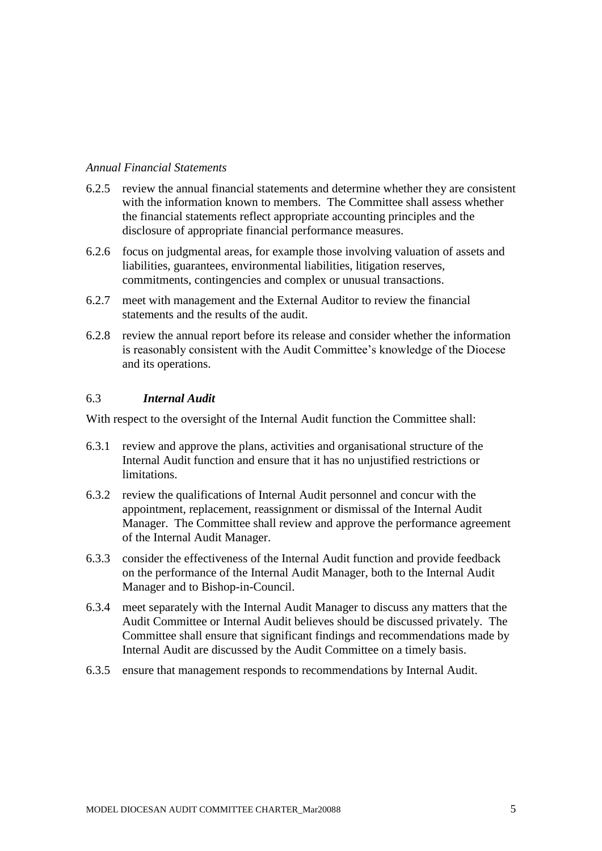### *Annual Financial Statements*

- 6.2.5 review the annual financial statements and determine whether they are consistent with the information known to members. The Committee shall assess whether the financial statements reflect appropriate accounting principles and the disclosure of appropriate financial performance measures.
- 6.2.6 focus on judgmental areas, for example those involving valuation of assets and liabilities, guarantees, environmental liabilities, litigation reserves, commitments, contingencies and complex or unusual transactions.
- 6.2.7 meet with management and the External Auditor to review the financial statements and the results of the audit.
- 6.2.8 review the annual report before its release and consider whether the information is reasonably consistent with the Audit Committee's knowledge of the Diocese and its operations.

#### 6.3 *Internal Audit*

With respect to the oversight of the Internal Audit function the Committee shall:

- 6.3.1 review and approve the plans, activities and organisational structure of the Internal Audit function and ensure that it has no unjustified restrictions or limitations.
- 6.3.2 review the qualifications of Internal Audit personnel and concur with the appointment, replacement, reassignment or dismissal of the Internal Audit Manager. The Committee shall review and approve the performance agreement of the Internal Audit Manager.
- 6.3.3 consider the effectiveness of the Internal Audit function and provide feedback on the performance of the Internal Audit Manager, both to the Internal Audit Manager and to Bishop-in-Council.
- 6.3.4 meet separately with the Internal Audit Manager to discuss any matters that the Audit Committee or Internal Audit believes should be discussed privately. The Committee shall ensure that significant findings and recommendations made by Internal Audit are discussed by the Audit Committee on a timely basis.
- 6.3.5 ensure that management responds to recommendations by Internal Audit.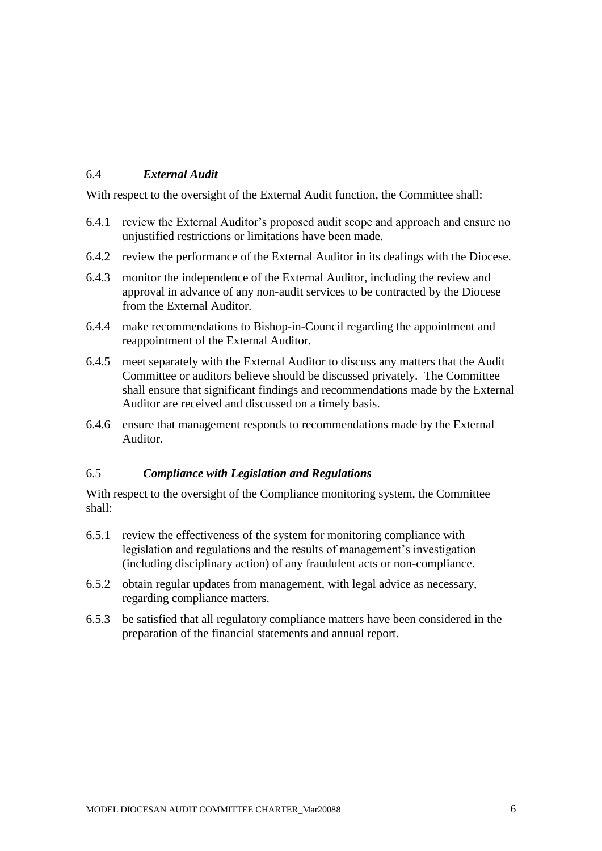# 6.4 *External Audit*

With respect to the oversight of the External Audit function, the Committee shall:

- 6.4.1 review the External Auditor's proposed audit scope and approach and ensure no unjustified restrictions or limitations have been made.
- 6.4.2 review the performance of the External Auditor in its dealings with the Diocese.
- 6.4.3 monitor the independence of the External Auditor, including the review and approval in advance of any non-audit services to be contracted by the Diocese from the External Auditor.
- 6.4.4 make recommendations to Bishop-in-Council regarding the appointment and reappointment of the External Auditor.
- 6.4.5 meet separately with the External Auditor to discuss any matters that the Audit Committee or auditors believe should be discussed privately. The Committee shall ensure that significant findings and recommendations made by the External Auditor are received and discussed on a timely basis.
- 6.4.6 ensure that management responds to recommendations made by the External Auditor.

# 6.5 *Compliance with Legislation and Regulations*

With respect to the oversight of the Compliance monitoring system, the Committee shall:

- 6.5.1 review the effectiveness of the system for monitoring compliance with legislation and regulations and the results of management's investigation (including disciplinary action) of any fraudulent acts or non-compliance.
- 6.5.2 obtain regular updates from management, with legal advice as necessary, regarding compliance matters.
- 6.5.3 be satisfied that all regulatory compliance matters have been considered in the preparation of the financial statements and annual report.